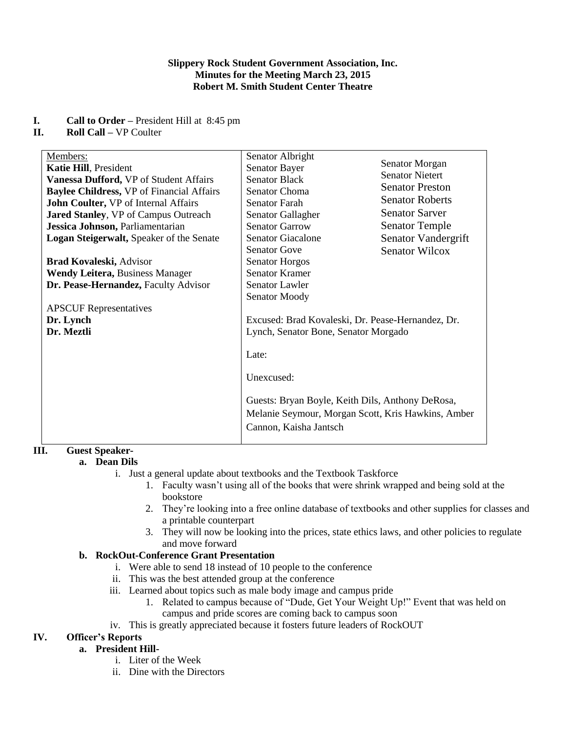### **Slippery Rock Student Government Association, Inc. Minutes for the Meeting March 23, 2015 Robert M. Smith Student Center Theatre**

### **I. Call to Order –** President Hill at 8:45 pm

### **II. Roll Call –** VP Coulter

| Members:                                         | Senator Albright                                   |                        |
|--------------------------------------------------|----------------------------------------------------|------------------------|
| Katie Hill, President                            | <b>Senator Bayer</b>                               | Senator Morgan         |
| Vanessa Dufford, VP of Student Affairs           | <b>Senator Black</b>                               | <b>Senator Nietert</b> |
| <b>Baylee Childress, VP of Financial Affairs</b> | <b>Senator Choma</b>                               | <b>Senator Preston</b> |
| John Coulter, VP of Internal Affairs             | Senator Farah                                      | <b>Senator Roberts</b> |
| <b>Jared Stanley, VP of Campus Outreach</b>      | Senator Gallagher                                  | <b>Senator Sarver</b>  |
| Jessica Johnson, Parliamentarian                 | <b>Senator Garrow</b>                              | <b>Senator Temple</b>  |
| Logan Steigerwalt, Speaker of the Senate         | <b>Senator Giacalone</b>                           | Senator Vandergrift    |
|                                                  | <b>Senator Gove</b>                                | <b>Senator Wilcox</b>  |
| Brad Kovaleski, Advisor                          | <b>Senator Horgos</b>                              |                        |
| <b>Wendy Leitera, Business Manager</b>           | <b>Senator Kramer</b>                              |                        |
| Dr. Pease-Hernandez, Faculty Advisor             | <b>Senator Lawler</b>                              |                        |
|                                                  | Senator Moody                                      |                        |
| <b>APSCUF</b> Representatives                    |                                                    |                        |
| Dr. Lynch                                        | Excused: Brad Kovaleski, Dr. Pease-Hernandez, Dr.  |                        |
| Dr. Meztli                                       | Lynch, Senator Bone, Senator Morgado               |                        |
|                                                  |                                                    |                        |
|                                                  | Late:                                              |                        |
|                                                  |                                                    |                        |
|                                                  | Unexcused:                                         |                        |
|                                                  |                                                    |                        |
|                                                  | Guests: Bryan Boyle, Keith Dils, Anthony DeRosa,   |                        |
|                                                  | Melanie Seymour, Morgan Scott, Kris Hawkins, Amber |                        |
|                                                  | Cannon, Kaisha Jantsch                             |                        |
|                                                  |                                                    |                        |
|                                                  |                                                    |                        |

# **III. Guest Speaker-**

# **a. Dean Dils**

- i. Just a general update about textbooks and the Textbook Taskforce
	- 1. Faculty wasn't using all of the books that were shrink wrapped and being sold at the bookstore
	- 2. They're looking into a free online database of textbooks and other supplies for classes and a printable counterpart
	- 3. They will now be looking into the prices, state ethics laws, and other policies to regulate and move forward

# **b. RockOut-Conference Grant Presentation**

- i. Were able to send 18 instead of 10 people to the conference
- ii. This was the best attended group at the conference
- iii. Learned about topics such as male body image and campus pride
	- 1. Related to campus because of "Dude, Get Your Weight Up!" Event that was held on campus and pride scores are coming back to campus soon
- iv. This is greatly appreciated because it fosters future leaders of RockOUT

# **IV. Officer's Reports**

# **a. President Hill-**

- i. Liter of the Week
- ii. Dine with the Directors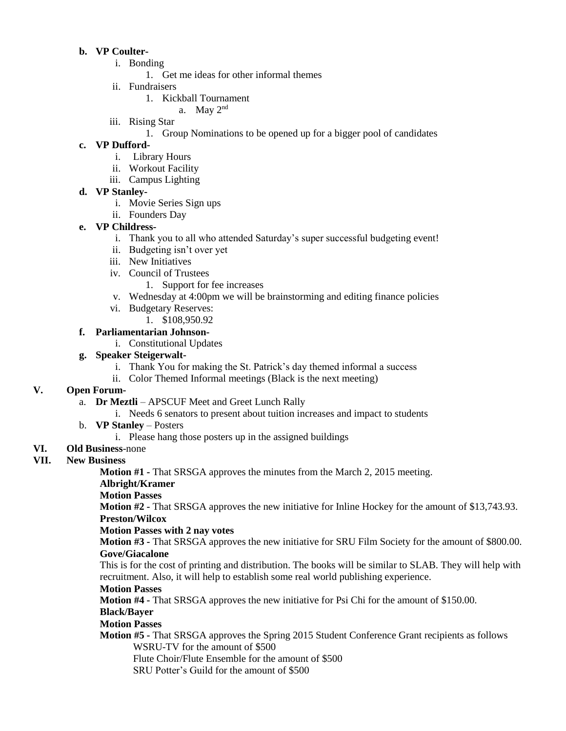# **b. VP Coulter-**

- i. Bonding
	- 1. Get me ideas for other informal themes
- ii. Fundraisers
	- 1. Kickball Tournament
		- a. May 2nd
- iii. Rising Star
	- 1. Group Nominations to be opened up for a bigger pool of candidates

### **c. VP Dufford-**

- i. Library Hours
- ii. Workout Facility
- iii. Campus Lighting

### **d. VP Stanley-**

- i. Movie Series Sign ups
- ii. Founders Day

### **e. VP Childress-**

- i. Thank you to all who attended Saturday's super successful budgeting event!
- ii. Budgeting isn't over yet
- iii. New Initiatives
- iv. Council of Trustees
	- 1. Support for fee increases
- v. Wednesday at 4:00pm we will be brainstorming and editing finance policies
- vi. Budgetary Reserves:
- 1. \$108,950.92
- **f. Parliamentarian Johnson**
	- i. Constitutional Updates

# **g. Speaker Steigerwalt-**

- i. Thank You for making the St. Patrick's day themed informal a success
- ii. Color Themed Informal meetings (Black is the next meeting)

# **V. Open Forum-**

- a. **Dr Meztli**  APSCUF Meet and Greet Lunch Rally
	- i. Needs 6 senators to present about tuition increases and impact to students
- b. **VP Stanley** Posters
	- i. Please hang those posters up in the assigned buildings
- **VI. Old Business**-none

# **VII. New Business**

**Motion #1 -** That SRSGA approves the minutes from the March 2, 2015 meeting.

# **Albright/Kramer**

#### **Motion Passes**

**Motion #2 -** That SRSGA approves the new initiative for Inline Hockey for the amount of \$13,743.93. **Preston/Wilcox**

#### **Motion Passes with 2 nay votes**

**Motion #3 -** That SRSGA approves the new initiative for SRU Film Society for the amount of \$800.00. **Gove/Giacalone**

This is for the cost of printing and distribution. The books will be similar to SLAB. They will help with recruitment. Also, it will help to establish some real world publishing experience.

# **Motion Passes**

**Motion #4 -** That SRSGA approves the new initiative for Psi Chi for the amount of \$150.00. **Black/Bayer**

# **Motion Passes**

- **Motion #5 -** That SRSGA approves the Spring 2015 Student Conference Grant recipients as follows WSRU-TV for the amount of \$500
	- Flute Choir/Flute Ensemble for the amount of \$500
	- SRU Potter's Guild for the amount of \$500